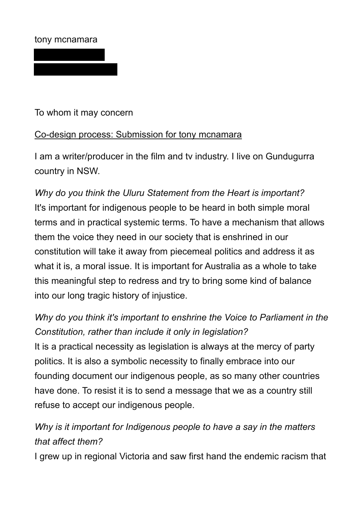## tony mcnamara

To whom it may concern

## Co-design process: Submission for tony mcnamara

I am a writer/producer in the film and tv industry. I live on Gundugurra country in NSW.

*Why do you think the Uluru Statement from the Heart is important?* It's important for indigenous people to be heard in both simple moral terms and in practical systemic terms. To have a mechanism that allows them the voice they need in our society that is enshrined in our constitution will take it away from piecemeal politics and address it as what it is, a moral issue. It is important for Australia as a whole to take this meaningful step to redress and try to bring some kind of balance into our long tragic history of injustice.

## *Why do you think it's important to enshrine the Voice to Parliament in the Constitution, rather than include it only in legislation?* It is a practical necessity as legislation is always at the mercy of party politics. It is also a symbolic necessity to finally embrace into our founding document our indigenous people, as so many other countries have done. To resist it is to send a message that we as a country still refuse to accept our indigenous people.

## *Why is it important for Indigenous people to have a say in the matters that affect them?*

I grew up in regional Victoria and saw first hand the endemic racism that